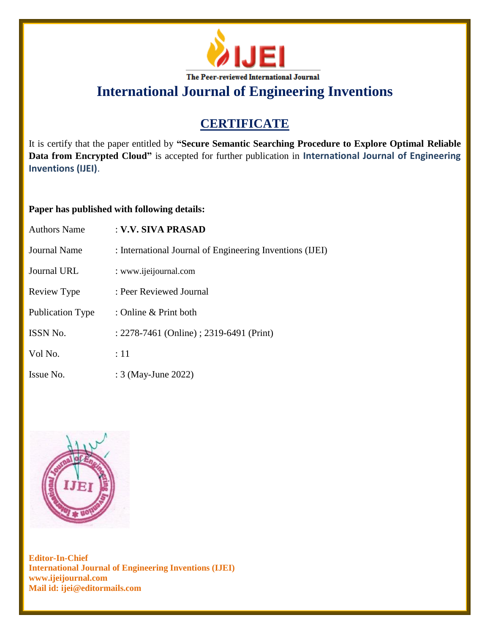

# **CERTIFICATE**

It is certify that the paper entitled by **"Secure Semantic Searching Procedure to Explore Optimal Reliable Data from Encrypted Cloud"** is accepted for further publication in **International Journal of Engineering Inventions (IJEI)**.

## **Paper has published with following details:**

| <b>Authors Name</b>     | : V.V. SIVA PRASAD                                       |
|-------------------------|----------------------------------------------------------|
| <b>Journal Name</b>     | : International Journal of Engineering Inventions (IJEI) |
| Journal URL             | : www.ijeijournal.com                                    |
| Review Type             | : Peer Reviewed Journal                                  |
| <b>Publication Type</b> | : Online & Print both                                    |
| <b>ISSN No.</b>         | : 2278-7461 (Online) ; 2319-6491 (Print)                 |
| Vol No.                 | :11                                                      |
| Issue No.               | : 3 (May-June 2022)                                      |

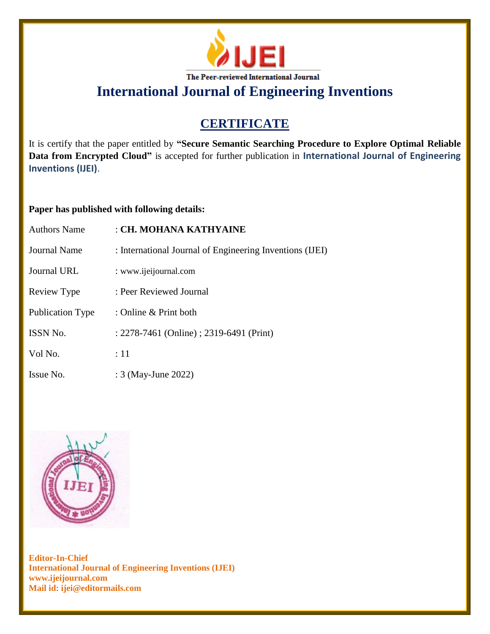

# **CERTIFICATE**

It is certify that the paper entitled by **"Secure Semantic Searching Procedure to Explore Optimal Reliable Data from Encrypted Cloud"** is accepted for further publication in **International Journal of Engineering Inventions (IJEI)**.

## **Paper has published with following details:**

| <b>Authors Name</b>     | : CH. MOHANA KATHYAINE                                   |
|-------------------------|----------------------------------------------------------|
| <b>Journal Name</b>     | : International Journal of Engineering Inventions (IJEI) |
| <b>Journal URL</b>      | : www.ijeijournal.com                                    |
| Review Type             | : Peer Reviewed Journal                                  |
| <b>Publication Type</b> | : Online $&$ Print both                                  |
| <b>ISSN No.</b>         | : 2278-7461 (Online) ; 2319-6491 (Print)                 |
| Vol No.                 | $\div 11$                                                |
| Issue No.               | : 3 (May-June 2022)                                      |

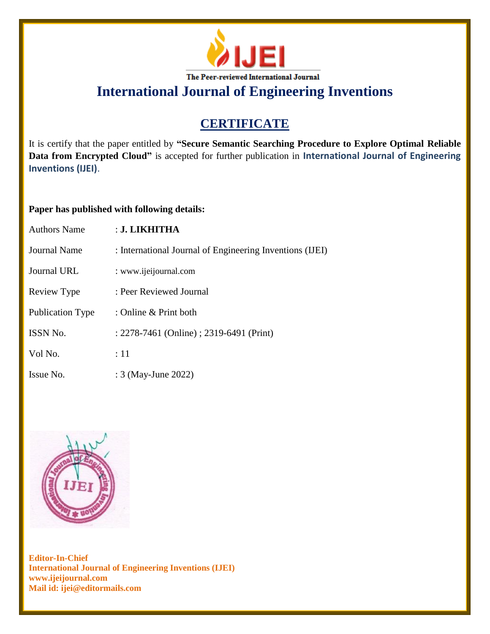

# **CERTIFICATE**

It is certify that the paper entitled by **"Secure Semantic Searching Procedure to Explore Optimal Reliable Data from Encrypted Cloud"** is accepted for further publication in **International Journal of Engineering Inventions (IJEI)**.

## **Paper has published with following details:**

| <b>Authors Name</b>     | : J. LIKHITHA                                            |
|-------------------------|----------------------------------------------------------|
| Journal Name            | : International Journal of Engineering Inventions (IJEI) |
| Journal URL             | : www.ijeijournal.com                                    |
| Review Type             | : Peer Reviewed Journal                                  |
| <b>Publication Type</b> | : Online & Print both                                    |
| <b>ISSN No.</b>         | : 2278-7461 (Online) ; 2319-6491 (Print)                 |
| Vol No.                 | :11                                                      |
| Issue No.               | : 3 (May-June 2022)                                      |

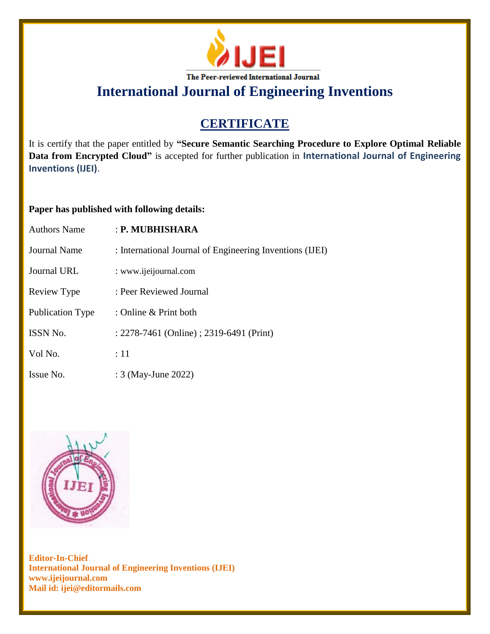

# **CERTIFICATE**

It is certify that the paper entitled by **"Secure Semantic Searching Procedure to Explore Optimal Reliable Data from Encrypted Cloud"** is accepted for further publication in **International Journal of Engineering Inventions (IJEI)**.

## **Paper has published with following details:**

| <b>Authors Name</b> | : P. MUBHISHARA                                          |
|---------------------|----------------------------------------------------------|
| Journal Name        | : International Journal of Engineering Inventions (IJEI) |
| <b>Journal URL</b>  | : www.ijeijournal.com                                    |
| Review Type         | : Peer Reviewed Journal                                  |
| Publication Type    | : Online & Print both                                    |
| <b>ISSN No.</b>     | : 2278-7461 (Online) ; 2319-6491 (Print)                 |
| Vol No.             | :11                                                      |
| Issue No.           | : 3 (May-June 2022)                                      |